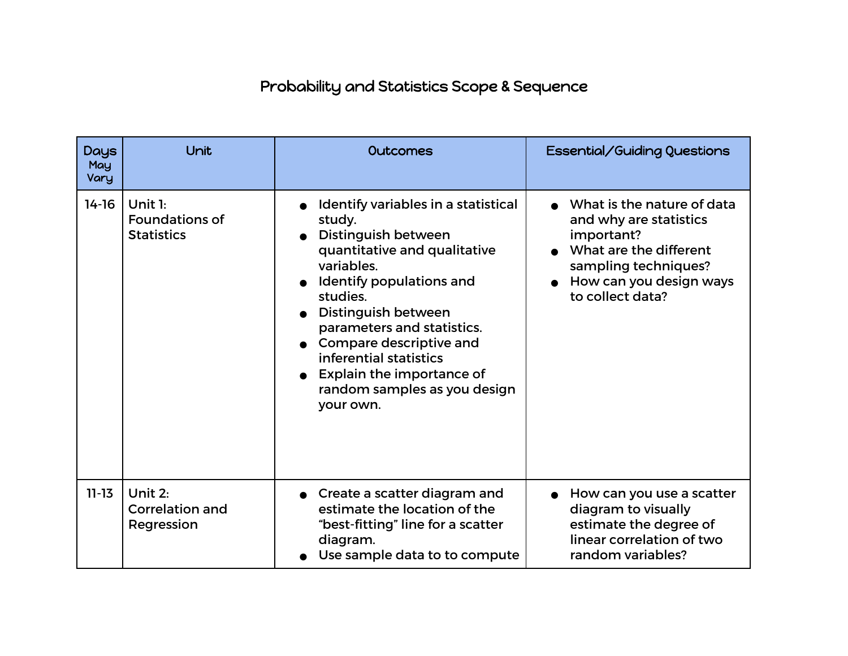## Probability and Statistics Scope & Sequence

| <b>Days</b><br>May<br>Vary | Unit                                                    | <b>Outcomes</b>                                                                                                                                                                                                                                                                                                                                  | Essential/Guiding Questions                                                                                                                                         |
|----------------------------|---------------------------------------------------------|--------------------------------------------------------------------------------------------------------------------------------------------------------------------------------------------------------------------------------------------------------------------------------------------------------------------------------------------------|---------------------------------------------------------------------------------------------------------------------------------------------------------------------|
| $14-16$                    | Unit $1:$<br><b>Foundations of</b><br><b>Statistics</b> | Identify variables in a statistical<br>study.<br>Distinguish between<br>quantitative and qualitative<br>variables.<br>• Identify populations and<br>studies.<br>Distinguish between<br>parameters and statistics.<br>Compare descriptive and<br>inferential statistics<br>Explain the importance of<br>random samples as you design<br>your own. | What is the nature of data<br>and why are statistics<br>important?<br>What are the different<br>sampling techniques?<br>How can you design ways<br>to collect data? |
| $11 - 13$                  | Unit 2:<br><b>Correlation and</b><br>Regression         | • Create a scatter diagram and<br>estimate the location of the<br>"best-fitting" line for a scatter<br>diagram.<br>Use sample data to to compute                                                                                                                                                                                                 | How can you use a scatter<br>diagram to visually<br>estimate the degree of<br>linear correlation of two<br>random variables?                                        |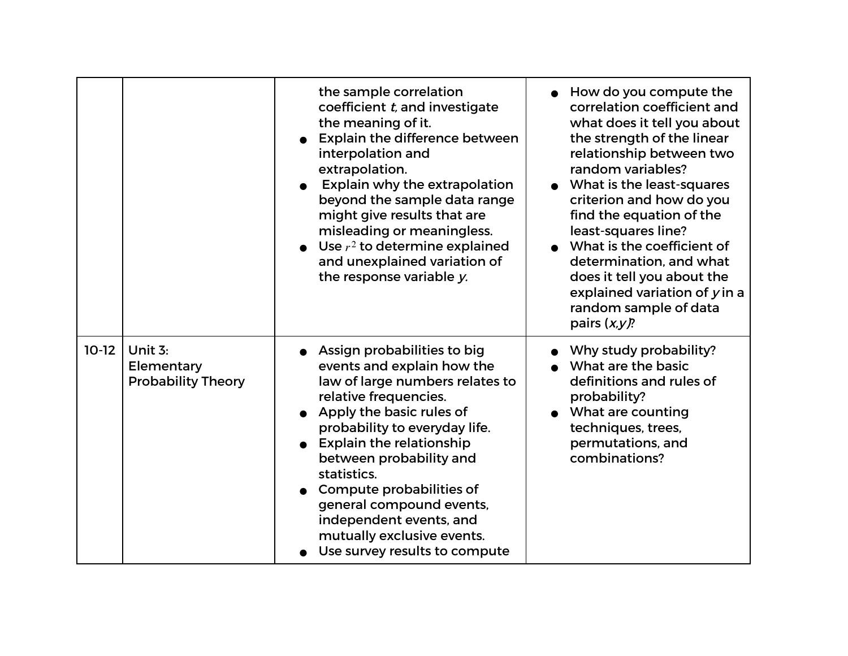|         |                                                    | the sample correlation<br>coefficient t, and investigate<br>the meaning of it.<br><b>Explain the difference between</b><br>interpolation and<br>extrapolation.<br>Explain why the extrapolation<br>beyond the sample data range<br>might give results that are<br>misleading or meaningless.<br>Use $r^2$ to determine explained<br>and unexplained variation of<br>the response variable y.                      | How do you compute the<br>correlation coefficient and<br>what does it tell you about<br>the strength of the linear<br>relationship between two<br>random variables?<br>What is the least-squares<br>criterion and how do you<br>find the equation of the<br>least-squares line?<br>What is the coefficient of<br>determination, and what<br>does it tell you about the<br>explained variation of $y$ in a<br>random sample of data<br>pairs $(x, y)$ ? |
|---------|----------------------------------------------------|-------------------------------------------------------------------------------------------------------------------------------------------------------------------------------------------------------------------------------------------------------------------------------------------------------------------------------------------------------------------------------------------------------------------|--------------------------------------------------------------------------------------------------------------------------------------------------------------------------------------------------------------------------------------------------------------------------------------------------------------------------------------------------------------------------------------------------------------------------------------------------------|
| $10-12$ | Unit 3:<br>Elementary<br><b>Probability Theory</b> | Assign probabilities to big<br>events and explain how the<br>law of large numbers relates to<br>relative frequencies.<br>Apply the basic rules of<br>probability to everyday life.<br><b>Explain the relationship</b><br>between probability and<br>statistics.<br>Compute probabilities of<br>general compound events,<br>independent events, and<br>mutually exclusive events.<br>Use survey results to compute | Why study probability?<br>What are the basic<br>definitions and rules of<br>probability?<br>What are counting<br>techniques, trees,<br>permutations, and<br>combinations?                                                                                                                                                                                                                                                                              |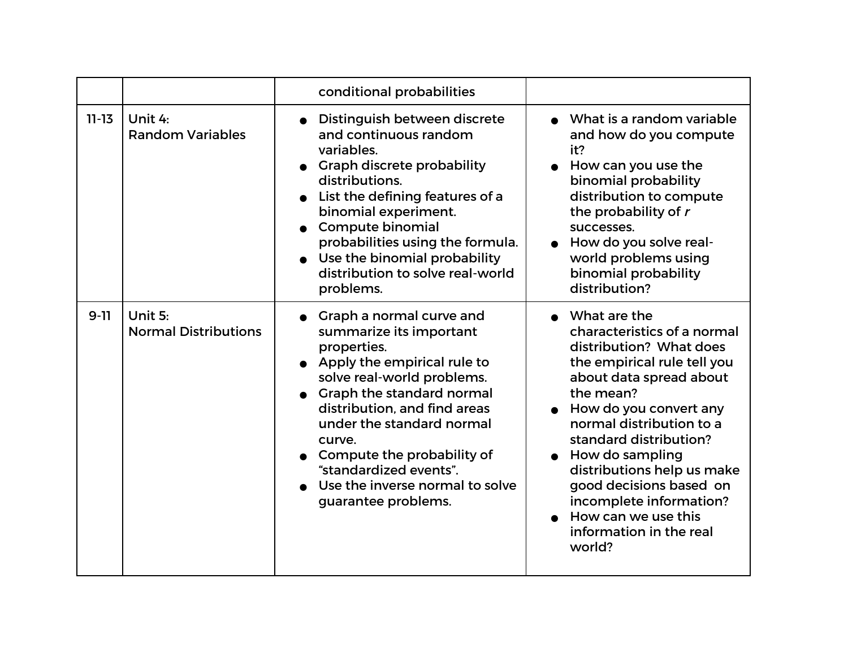|           |                                        | conditional probabilities                                                                                                                                                                                                                                                                                                                               |                                                                                                                                                                                                                                                                                                                                                                                                  |
|-----------|----------------------------------------|---------------------------------------------------------------------------------------------------------------------------------------------------------------------------------------------------------------------------------------------------------------------------------------------------------------------------------------------------------|--------------------------------------------------------------------------------------------------------------------------------------------------------------------------------------------------------------------------------------------------------------------------------------------------------------------------------------------------------------------------------------------------|
| $11 - 13$ | Unit 4:<br><b>Random Variables</b>     | Distinguish between discrete<br>and continuous random<br>variables.<br>• Graph discrete probability<br>distributions.<br>List the defining features of a<br>binomial experiment.<br><b>Compute binomial</b><br>probabilities using the formula.<br>Use the binomial probability<br>distribution to solve real-world<br>problems.                        | • What is a random variable<br>and how do you compute<br>it?<br>$\bullet$ How can you use the<br>binomial probability<br>distribution to compute<br>the probability of r<br>successes.<br>How do you solve real-<br>world problems using<br>binomial probability<br>distribution?                                                                                                                |
| $9 - 11$  | Unit 5:<br><b>Normal Distributions</b> | Graph a normal curve and<br>summarize its important<br>properties.<br>• Apply the empirical rule to<br>solve real-world problems.<br>Graph the standard normal<br>distribution, and find areas<br>under the standard normal<br>curve.<br>Compute the probability of<br>"standardized events".<br>Use the inverse normal to solve<br>guarantee problems. | What are the<br>characteristics of a normal<br>distribution? What does<br>the empirical rule tell you<br>about data spread about<br>the mean?<br>How do you convert any<br>normal distribution to a<br>standard distribution?<br>How do sampling<br>distributions help us make<br>good decisions based on<br>incomplete information?<br>How can we use this<br>information in the real<br>world? |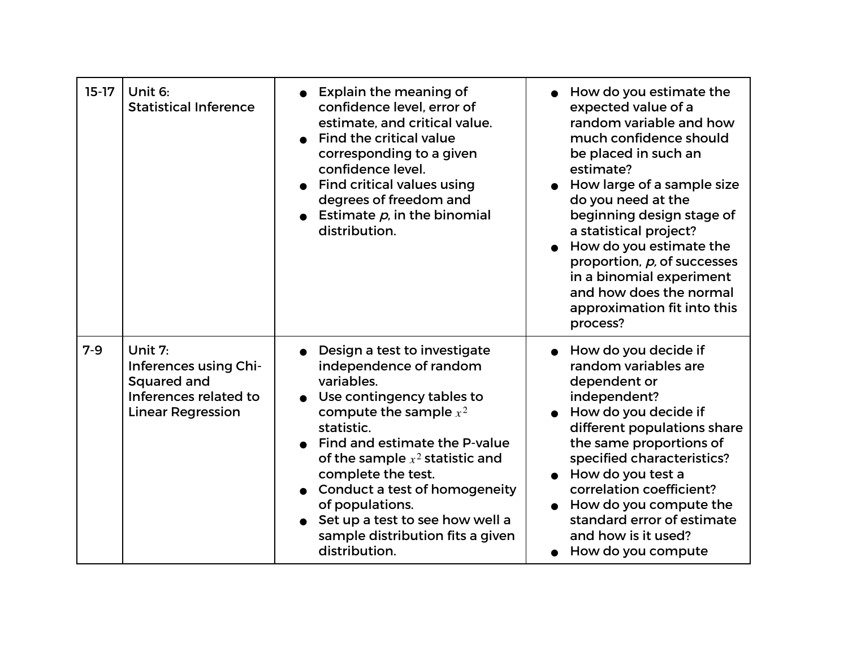| $15-17$ | Unit 6:<br><b>Statistical Inference</b>                                                              | <b>Explain the meaning of</b><br>confidence level, error of<br>estimate, and critical value.<br>Find the critical value<br>corresponding to a given<br>confidence level.<br><b>Find critical values using</b><br>degrees of freedom and<br>Estimate $p$ , in the binomial<br>distribution.                                                                                          | How do you estimate the<br>expected value of a<br>random variable and how<br>much confidence should<br>be placed in such an<br>estimate?<br>How large of a sample size<br>do you need at the<br>beginning design stage of<br>a statistical project?<br>How do you estimate the<br>proportion, p, of successes<br>in a binomial experiment<br>and how does the normal<br>approximation fit into this<br>process? |
|---------|------------------------------------------------------------------------------------------------------|-------------------------------------------------------------------------------------------------------------------------------------------------------------------------------------------------------------------------------------------------------------------------------------------------------------------------------------------------------------------------------------|-----------------------------------------------------------------------------------------------------------------------------------------------------------------------------------------------------------------------------------------------------------------------------------------------------------------------------------------------------------------------------------------------------------------|
| $7 - 9$ | Unit 7:<br>Inferences using Chi-<br>Squared and<br>Inferences related to<br><b>Linear Regression</b> | Design a test to investigate<br>independence of random<br>variables.<br>Use contingency tables to<br>compute the sample $x^2$<br>statistic.<br>Find and estimate the P-value<br>of the sample $x^2$ statistic and<br>complete the test.<br>Conduct a test of homogeneity<br>of populations.<br>Set up a test to see how well a<br>sample distribution fits a given<br>distribution. | How do you decide if<br>random variables are<br>dependent or<br>independent?<br>How do you decide if<br>different populations share<br>the same proportions of<br>specified characteristics?<br>How do you test a<br>correlation coefficient?<br>How do you compute the<br>standard error of estimate<br>and how is it used?<br>How do you compute                                                              |